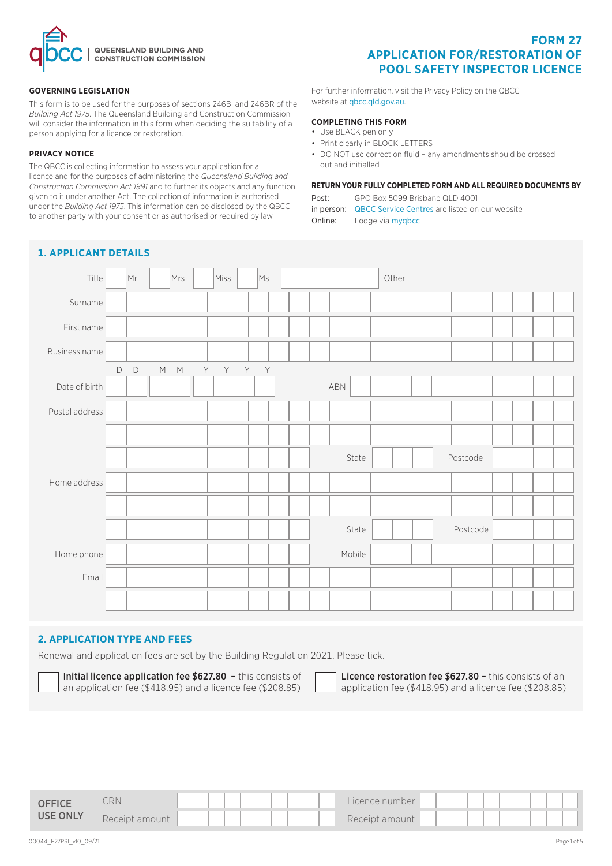

#### **GOVERNING LEGISLATION**

This form is to be used for the purposes of sections 246BI and 246BR of the *Building Act 1975*. The Queensland Building and Construction Commission will consider the information in this form when deciding the suitability of a person applying for a licence or restoration.

### **PRIVACY NOTICE**

The QBCC is collecting information to assess your application for a licence and for the purposes of administering the *Queensland Building and Construction Commission Act 1991* and to further its objects and any function given to it under another Act. The collection of information is authorised under the *Building Act 1975*. This information can be disclosed by the QBCC to another party with your consent or as authorised or required by law.

# **FORM 27 APPLICATION FOR/RESTORATION OF POOL SAFETY INSPECTOR LICENCE**

For further information, visit the Privacy Policy on the QBCC website at qbcc.qld.gov.au.

#### **COMPLETING THIS FORM**

- Use BLACK pen only
- Print clearly in BLOCK LETTERS
- DO NOT use correction fluid any amendments should be crossed out and initialled

#### **RETURN YOUR FULLY COMPLETED FORM AND ALL REQUIRED DOCUMENTS BY**

Post: GPO Box 5099 Brisbane QLD 4001

in person: [QBCC Service Centres](www.qbcc.qld.gov.au/locate-office) are listed on our website

Online: Lodge via [myqbcc](https://my.qbcc.qld.gov.au/s/)



## **2. APPLICATION TYPE AND FEES**

Renewal and application fees are set by the Building Regulation 2021. Please tick.

Initial licence application fee \$627.80 - this consists of an application fee (\$418.95) and a licence fee (\$208.85) Licence restoration fee \$627.80 - this consists of an application fee (\$418.95) and a licence fee (\$208.85)

| <b>OFFICE</b>   | CRN               | Licence number      |
|-----------------|-------------------|---------------------|
| <b>USE ONLY</b> | Receipt<br>amount | Receipt<br>: amount |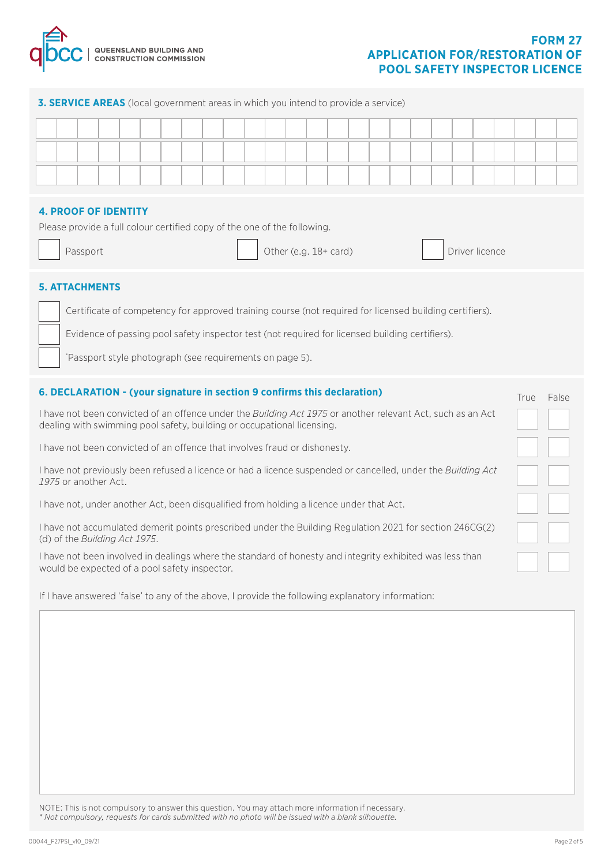

#### **3. SERVICE AREAS** (local government areas in which you intend to provide a service)

#### **4. PROOF OF IDENTITY**

Please provide a full colour certified copy of the one of the following.

| 'asspoi |
|---------|

Passport **Example 2** Theorem 2 (Computer light of the Countries of the Passport density of the Driver licence

True False

### **5. ATTACHMENTS**

Certificate of competency for approved training course (not required for licensed building certifiers).

Evidence of passing pool safety inspector test (not required for licensed building certifiers).

\* Passport style photograph (see requirements on page 5).

#### **6. DECLARATION - (your signature in section 9 confirms this declaration)**

I have not been convicted of an offence under the *Building Act 1975* or another relevant Act, such as an Act dealing with swimming pool safety, building or occupational licensing.

I have not been convicted of an offence that involves fraud or dishonesty.

I have not previously been refused a licence or had a licence suspended or cancelled, under the *Building Act 1975* or another Act.

I have not, under another Act, been disqualified from holding a licence under that Act.

I have not accumulated demerit points prescribed under the Building Regulation 2021 for section 246CG(2) (d) of the *Building Act 1975*.

I have not been involved in dealings where the standard of honesty and integrity exhibited was less than would be expected of a pool safety inspector.

If I have answered 'false' to any of the above, I provide the following explanatory information:

NOTE: This is not compulsory to answer this question. You may attach more information if necessary. *\* Not compulsory, requests for cards submitted with no photo will be issued with a blank silhouette.*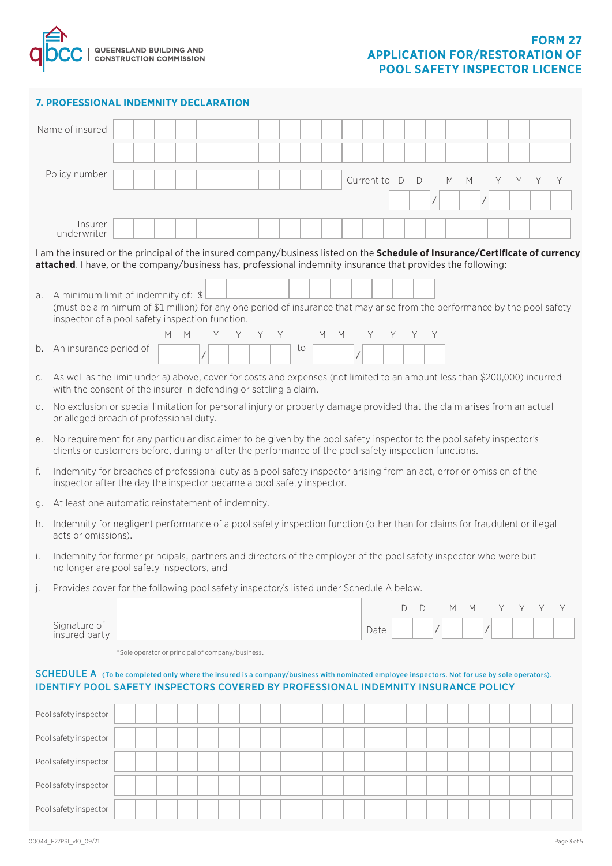

## **7. PROFESSIONAL INDEMNITY DECLARATION**

| Name of insured                                                                                                                                                                                                                                  |                                                                                                                                                                                                |  |  |   |   |   |                                                  |    |     |  |    |   |   |                     |        |   |   |    |    |   |             |  |
|--------------------------------------------------------------------------------------------------------------------------------------------------------------------------------------------------------------------------------------------------|------------------------------------------------------------------------------------------------------------------------------------------------------------------------------------------------|--|--|---|---|---|--------------------------------------------------|----|-----|--|----|---|---|---------------------|--------|---|---|----|----|---|-------------|--|
|                                                                                                                                                                                                                                                  |                                                                                                                                                                                                |  |  |   |   |   |                                                  |    |     |  |    |   |   |                     |        |   |   |    |    |   |             |  |
| Policy number                                                                                                                                                                                                                                    |                                                                                                                                                                                                |  |  |   |   |   |                                                  |    |     |  |    |   |   | Current to $\Gamma$ | D      | M | M | Y. | Y. | Y | Y           |  |
|                                                                                                                                                                                                                                                  |                                                                                                                                                                                                |  |  |   |   |   |                                                  |    |     |  |    |   |   |                     |        |   |   |    |    |   |             |  |
| underwriter                                                                                                                                                                                                                                      | Insurer                                                                                                                                                                                        |  |  |   |   |   |                                                  |    |     |  |    |   |   |                     |        |   |   |    |    |   |             |  |
| I am the insured or the principal of the insured company/business listed on the Schedule of Insurance/Certificate of currency                                                                                                                    |                                                                                                                                                                                                |  |  |   |   |   |                                                  |    |     |  |    |   |   |                     |        |   |   |    |    |   |             |  |
| attached. I have, or the company/business has, professional indemnity insurance that provides the following:                                                                                                                                     |                                                                                                                                                                                                |  |  |   |   |   |                                                  |    |     |  |    |   |   |                     |        |   |   |    |    |   |             |  |
| A minimum limit of indemnity of: $$$<br>a.<br>(must be a minimum of \$1 million) for any one period of insurance that may arise from the performance by the pool safety<br>inspector of a pool safety inspection function.                       |                                                                                                                                                                                                |  |  |   |   |   |                                                  |    |     |  |    |   |   |                     |        |   |   |    |    |   |             |  |
|                                                                                                                                                                                                                                                  |                                                                                                                                                                                                |  |  | М | M | Y |                                                  | Y. | Y Y |  |    | M | M |                     | Y      |   |   |    |    |   |             |  |
| An insurance period of<br>b.                                                                                                                                                                                                                     |                                                                                                                                                                                                |  |  |   |   |   |                                                  |    |     |  | to |   |   |                     |        |   |   |    |    |   |             |  |
| $C_{1}$                                                                                                                                                                                                                                          | As well as the limit under a) above, cover for costs and expenses (not limited to an amount less than \$200,000) incurred<br>with the consent of the insurer in defending or settling a claim. |  |  |   |   |   |                                                  |    |     |  |    |   |   |                     |        |   |   |    |    |   |             |  |
| No exclusion or special limitation for personal injury or property damage provided that the claim arises from an actual<br>d.<br>or alleged breach of professional duty.                                                                         |                                                                                                                                                                                                |  |  |   |   |   |                                                  |    |     |  |    |   |   |                     |        |   |   |    |    |   |             |  |
| No requirement for any particular disclaimer to be given by the pool safety inspector to the pool safety inspector's<br>е.<br>clients or customers before, during or after the performance of the pool safety inspection functions.              |                                                                                                                                                                                                |  |  |   |   |   |                                                  |    |     |  |    |   |   |                     |        |   |   |    |    |   |             |  |
| f.                                                                                                                                                                                                                                               | Indemnity for breaches of professional duty as a pool safety inspector arising from an act, error or omission of the<br>inspector after the day the inspector became a pool safety inspector.  |  |  |   |   |   |                                                  |    |     |  |    |   |   |                     |        |   |   |    |    |   |             |  |
| At least one automatic reinstatement of indemnity.<br>g.                                                                                                                                                                                         |                                                                                                                                                                                                |  |  |   |   |   |                                                  |    |     |  |    |   |   |                     |        |   |   |    |    |   |             |  |
| Indemnity for negligent performance of a pool safety inspection function (other than for claims for fraudulent or illegal<br>h.<br>acts or omissions).                                                                                           |                                                                                                                                                                                                |  |  |   |   |   |                                                  |    |     |  |    |   |   |                     |        |   |   |    |    |   |             |  |
| Indemnity for former principals, partners and directors of the employer of the pool safety inspector who were but<br>i.<br>no longer are pool safety inspectors, and                                                                             |                                                                                                                                                                                                |  |  |   |   |   |                                                  |    |     |  |    |   |   |                     |        |   |   |    |    |   |             |  |
| Provides cover for the following pool safety inspector/s listed under Schedule A below.<br>$\vert$ .                                                                                                                                             |                                                                                                                                                                                                |  |  |   |   |   |                                                  |    |     |  |    |   |   |                     |        |   |   |    |    |   |             |  |
|                                                                                                                                                                                                                                                  |                                                                                                                                                                                                |  |  |   |   |   |                                                  |    |     |  |    |   |   |                     | D<br>D | M | M | Y. | Y  | Y | Υ           |  |
| Signature of<br>insured party                                                                                                                                                                                                                    |                                                                                                                                                                                                |  |  |   |   |   |                                                  |    |     |  |    |   |   | Date                |        |   |   |    |    |   |             |  |
|                                                                                                                                                                                                                                                  |                                                                                                                                                                                                |  |  |   |   |   | *Sole operator or principal of company/business. |    |     |  |    |   |   |                     |        |   |   |    |    |   |             |  |
| <b>SCHEDULE A</b> (To be completed only where the insured is a company/business with nominated employee inspectors. Not for use by sole operators).<br><b>IDENTIFY POOL SAFETY INSPECTORS COVERED BY PROFESSIONAL INDEMNITY INSURANCE POLICY</b> |                                                                                                                                                                                                |  |  |   |   |   |                                                  |    |     |  |    |   |   |                     |        |   |   |    |    |   |             |  |
| Pool safety inspector                                                                                                                                                                                                                            |                                                                                                                                                                                                |  |  |   |   |   |                                                  |    |     |  |    |   |   |                     |        |   |   |    |    |   |             |  |
| Pool safety inspector                                                                                                                                                                                                                            |                                                                                                                                                                                                |  |  |   |   |   |                                                  |    |     |  |    |   |   |                     |        |   |   |    |    |   |             |  |
| Pool safety inspector                                                                                                                                                                                                                            |                                                                                                                                                                                                |  |  |   |   |   |                                                  |    |     |  |    |   |   |                     |        |   |   |    |    |   |             |  |
| Pool safety inspector                                                                                                                                                                                                                            |                                                                                                                                                                                                |  |  |   |   |   |                                                  |    |     |  |    |   |   |                     |        |   |   |    |    |   |             |  |
| Pool safety inspector                                                                                                                                                                                                                            |                                                                                                                                                                                                |  |  |   |   |   |                                                  |    |     |  |    |   |   |                     |        |   |   |    |    |   |             |  |
| 00044_F27PSI_v10_09/21                                                                                                                                                                                                                           |                                                                                                                                                                                                |  |  |   |   |   |                                                  |    |     |  |    |   |   |                     |        |   |   |    |    |   | Page 3 of 5 |  |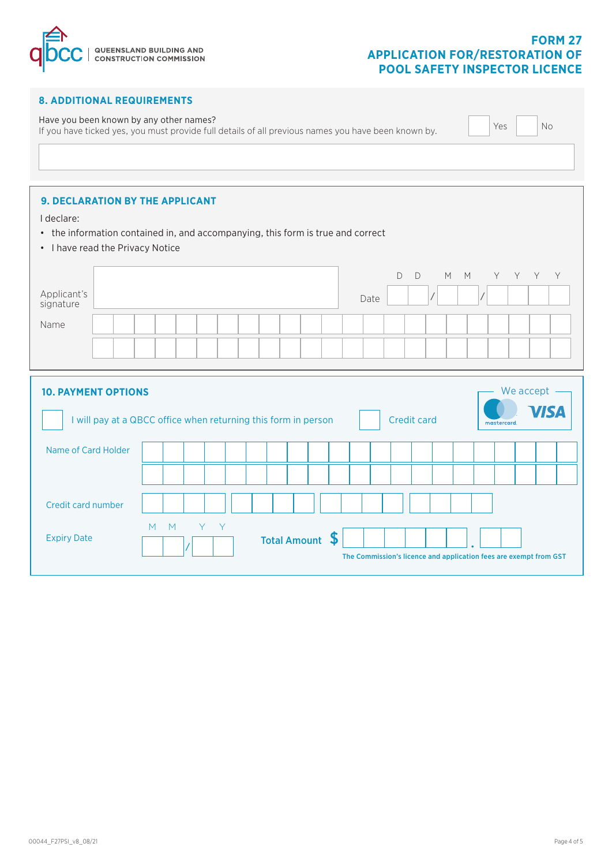

# **FORM 27 APPLICATION FOR/RESTORATION OF POOL SAFETY INSPECTOR LICENCE**

| <b>8. ADDITIONAL REQUIREMENTS</b>                                                                                                                                  |                                                                                                                                 |  |  |  |  |  |  |  |  |  |  |
|--------------------------------------------------------------------------------------------------------------------------------------------------------------------|---------------------------------------------------------------------------------------------------------------------------------|--|--|--|--|--|--|--|--|--|--|
| Have you been known by any other names?<br>Yes<br><b>No</b><br>If you have ticked yes, you must provide full details of all previous names you have been known by. |                                                                                                                                 |  |  |  |  |  |  |  |  |  |  |
|                                                                                                                                                                    |                                                                                                                                 |  |  |  |  |  |  |  |  |  |  |
| <b>9. DECLARATION BY THE APPLICANT</b><br>I declare:<br>• I have read the Privacy Notice                                                                           | • the information contained in, and accompanying, this form is true and correct                                                 |  |  |  |  |  |  |  |  |  |  |
|                                                                                                                                                                    | $\mathsf D$<br>Y<br>Y<br>$\mathsf{D}$<br>M<br>M<br>Y.<br>Y.                                                                     |  |  |  |  |  |  |  |  |  |  |
| Applicant's<br>signature                                                                                                                                           | Date                                                                                                                            |  |  |  |  |  |  |  |  |  |  |
| Name                                                                                                                                                               |                                                                                                                                 |  |  |  |  |  |  |  |  |  |  |
|                                                                                                                                                                    |                                                                                                                                 |  |  |  |  |  |  |  |  |  |  |
| <b>10. PAYMENT OPTIONS</b>                                                                                                                                         | We accept<br><b>/ISA</b><br>I will pay at a QBCC office when returning this form in person<br><b>Credit card</b><br>mastercard. |  |  |  |  |  |  |  |  |  |  |
| Name of Card Holder                                                                                                                                                |                                                                                                                                 |  |  |  |  |  |  |  |  |  |  |
|                                                                                                                                                                    |                                                                                                                                 |  |  |  |  |  |  |  |  |  |  |
| Credit card number                                                                                                                                                 |                                                                                                                                 |  |  |  |  |  |  |  |  |  |  |
| <b>Expiry Date</b>                                                                                                                                                 | Y<br>M<br>M<br>Y<br>S<br><b>Total Amount</b><br>The Commission's licence and application fees are exempt from GST               |  |  |  |  |  |  |  |  |  |  |